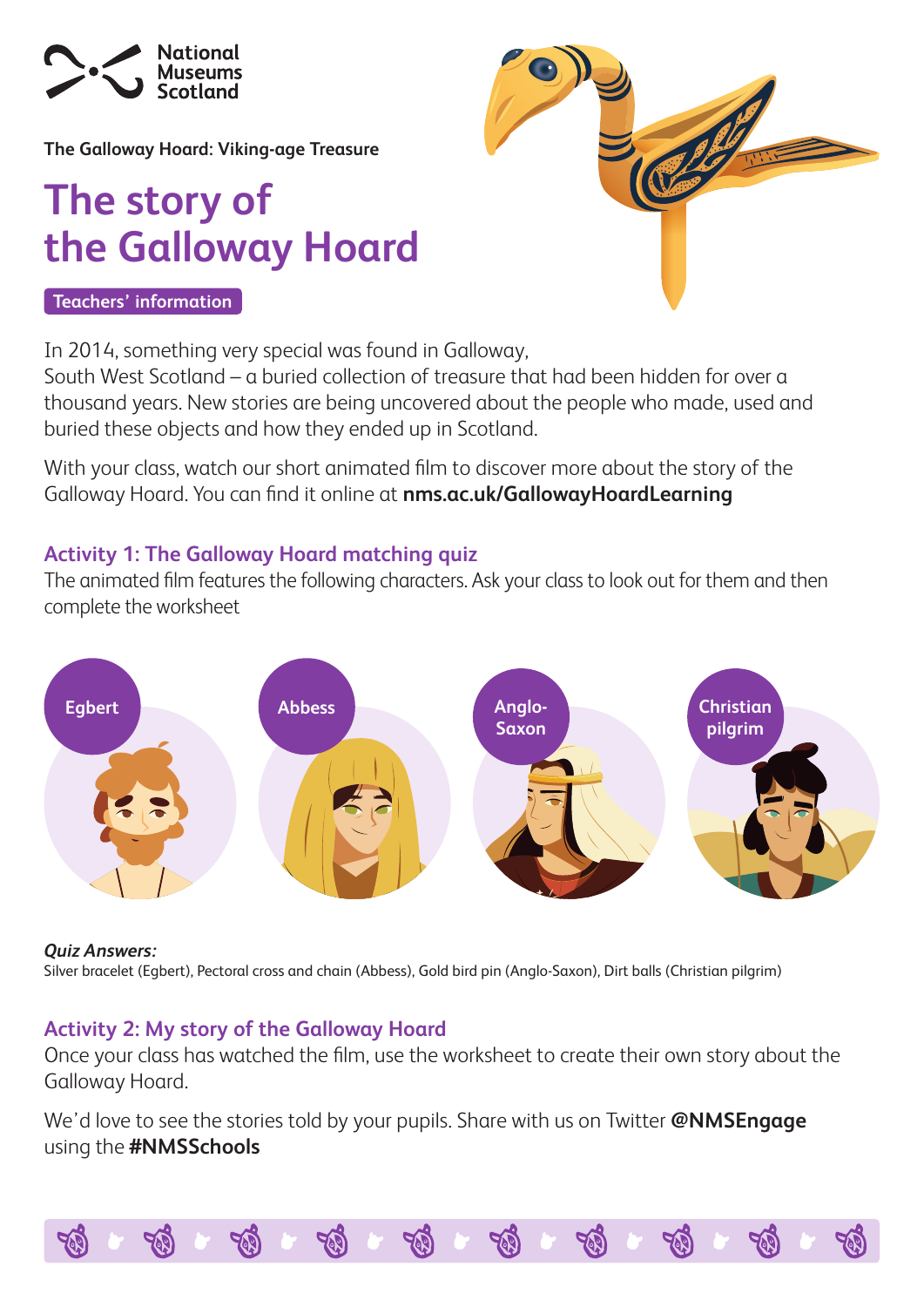

**The Galloway Hoard: Viking-age Treasure**

## **The story of the Galloway Hoard**

#### **Teachers' information**

In 2014, something very special was found in Galloway,

South West Scotland – a buried collection of treasure that had been hidden for over a thousand years. New stories are being uncovered about the people who made, used and buried these objects and how they ended up in Scotland.

With your class, watch our short animated film to discover more about the story of the Galloway Hoard. You can find it online at **[nms.ac.uk/GallowayHoardLearning](http://nms.ac.uk/GallowayHoardLearning)**

### **Activity 1: The Galloway Hoard matching quiz**

The animated film features the following characters. Ask your class to look out for them and then complete the worksheet



#### *Quiz Answers:*

Silver bracelet (Egbert), Pectoral cross and chain (Abbess), Gold bird pin (Anglo-Saxon), Dirt balls (Christian pilgrim)

### **Activity 2: My story of the Galloway Hoard**

Once your class has watched the film, use the worksheet to create their own story about the Galloway Hoard.

We'd love to see the stories told by your pupils. Share with us on Twitter **@NMSEngage** using the **#NMSSchools**

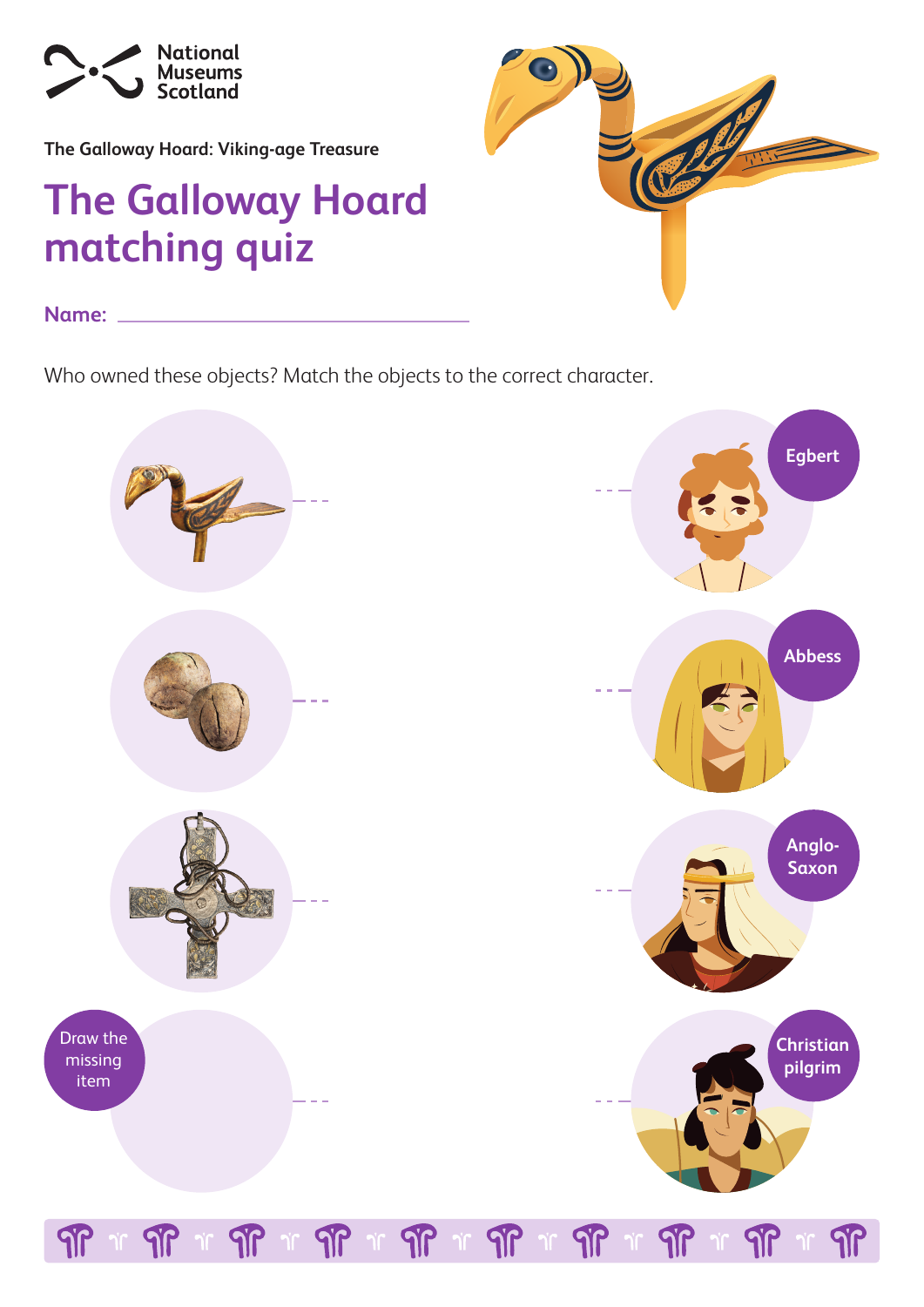

**The Galloway Hoard: Viking-age Treasure**

## **The Galloway Hoard matching quiz**



**Name:** 

Who owned these objects? Match the objects to the correct character.